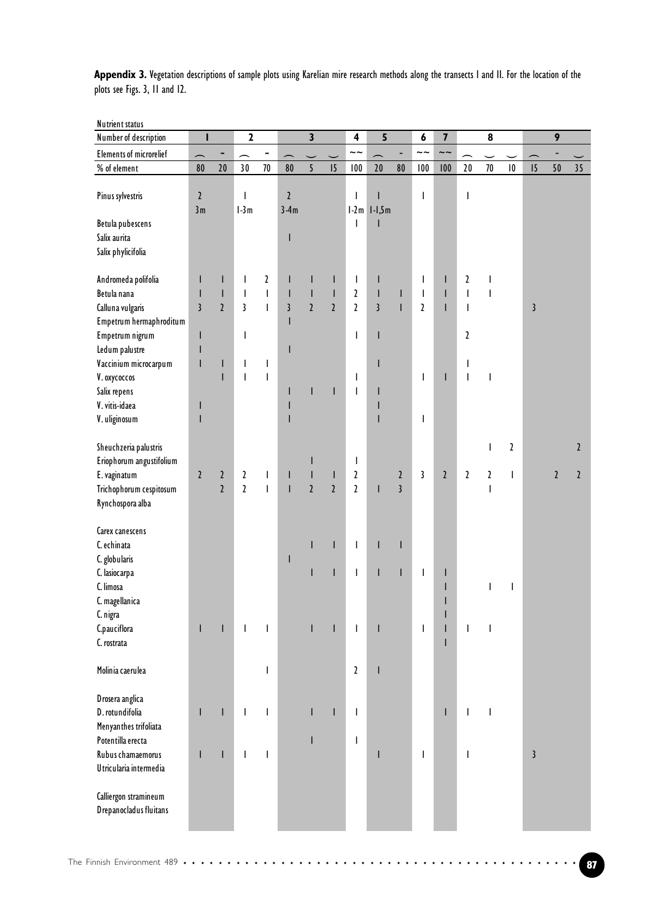Appendix 3. Vegetation descriptions of sample plots using Karelian mire research methods along the transects I and II. For the location of the plots see Figs. 3, 11 and 12.

| Nutrient status                                   |                     |                |                         |                                       |                          |                         |                |                |                 |                |                                       |                         |                           |                          |                 |            |                |                |
|---------------------------------------------------|---------------------|----------------|-------------------------|---------------------------------------|--------------------------|-------------------------|----------------|----------------|-----------------|----------------|---------------------------------------|-------------------------|---------------------------|--------------------------|-----------------|------------|----------------|----------------|
| Number of description                             |                     |                | $\mathbf 2$             |                                       |                          | $\overline{\mathbf{3}}$ |                | 4              | 5               |                | 6                                     | $\overline{\mathbf{7}}$ |                           | $\pmb{8}$                |                 |            | 9              |                |
| <b>Elements of microrelief</b>                    |                     |                | ∽                       | -                                     |                          |                         |                | $\sim\! \sim$  |                 | ÷,             | $\sim\sim$                            | $\sim\sim$              |                           |                          |                 |            |                |                |
| % of element                                      | 80                  | $20\,$         | 30                      | $70\,$                                | 80                       | $\overline{5}$          | 15             | 100            | 20              | ${\bf 80}$     | 100                                   | 100                     | 20                        | $70\,$                   | $\vert 0 \vert$ | 15         | 50             | 35             |
| Pinus sylvestris                                  | $\mathfrak z$<br>3m |                | T<br>$l-3m$             |                                       | $\mathfrak z$<br>$3-4m$  |                         |                | $\overline{1}$ | $1-2m$ $1-1,5m$ |                | I                                     |                         | I                         |                          |                 |            |                |                |
| Betula pubescens                                  |                     |                |                         |                                       |                          |                         |                | $\overline{1}$ |                 |                |                                       |                         |                           |                          |                 |            |                |                |
| Salix aurita                                      |                     |                |                         |                                       | ı                        |                         |                |                |                 |                |                                       |                         |                           |                          |                 |            |                |                |
| Salix phylicifolia                                |                     |                |                         |                                       |                          |                         |                |                |                 |                |                                       |                         |                           |                          |                 |            |                |                |
|                                                   |                     |                |                         |                                       |                          |                         |                |                |                 |                |                                       |                         |                           |                          |                 |            |                |                |
| Andromeda polifolia                               | $\mathsf{I}$        | $\mathsf{I}$   | $\mathsf{I}$            | $\mathbf{2}$                          | I                        | L                       | $\mathsf I$    | $\mathbf{I}$   | I               |                | $\mathbf{I}$                          | L                       | $\mathbf{2}$              | $\sf I$                  |                 |            |                |                |
| Betula nana                                       | T                   | $\sf I$        | $\mathbf{I}$            | $\begin{array}{c} \hline \end{array}$ | $\overline{\phantom{a}}$ | $\bar{\rm I}$           | $\mathsf I$    | $\mathbf{2}$   | I               | $\mathsf I$    | $\mathsf{I}$                          | L                       | $\overline{1}$            | $\overline{\phantom{a}}$ |                 |            |                |                |
| Calluna vulgaris                                  | $\overline{3}$      | $\overline{2}$ | $\overline{\mathbf{3}}$ | $\overline{1}$                        | $\overline{3}$           | $\overline{2}$          | $\overline{2}$ | $\overline{2}$ | $\overline{3}$  | $\mathbf{I}$   | $\overline{2}$                        | L                       | $\mathbf{I}$              |                          |                 | $\sqrt{3}$ |                |                |
| Empetrum hermaphroditum                           |                     |                |                         |                                       | I                        |                         |                |                |                 |                |                                       |                         |                           |                          |                 |            |                |                |
| Empetrum nigrum                                   | $\mathsf I$         |                | T                       |                                       |                          |                         |                | $\overline{1}$ |                 |                |                                       |                         | $\boldsymbol{\mathsf{2}}$ |                          |                 |            |                |                |
| Ledum palustre                                    | ı                   |                |                         |                                       | I                        |                         |                |                |                 |                |                                       |                         |                           |                          |                 |            |                |                |
| Vaccinium microcarpum                             | $\mathsf I$         | $\mathsf{I}$   | $\mathsf{I}$            | $\mathsf{I}$                          |                          |                         |                |                | ı               |                |                                       |                         | $\mathsf I$               |                          |                 |            |                |                |
| V. oxycoccos                                      |                     | I              | $\overline{1}$          | $\mathbf{I}$                          |                          |                         |                | $\mathbf{I}$   |                 |                | $\mathsf{I}$                          | L                       | $\overline{\phantom{a}}$  | T                        |                 |            |                |                |
| Salix repens                                      |                     |                |                         |                                       | I                        | T                       | $\mathsf{I}$   | $\mathsf{I}$   |                 |                |                                       |                         |                           |                          |                 |            |                |                |
| V. vitis-idaea                                    | ı                   |                |                         |                                       | I                        |                         |                |                |                 |                |                                       |                         |                           |                          |                 |            |                |                |
| V. uliginosum                                     | ı                   |                |                         |                                       | ı                        |                         |                |                |                 |                | T                                     |                         |                           |                          |                 |            |                |                |
|                                                   |                     |                |                         |                                       |                          |                         |                |                |                 |                |                                       |                         |                           |                          | $\mathbf{z}$    |            |                |                |
| Sheuchzeria palustris<br>Eriophorum angustifolium |                     |                |                         |                                       |                          | $\mathsf{I}$            |                | $\mathbf{I}$   |                 |                |                                       |                         |                           | $\overline{\phantom{a}}$ |                 |            |                | $\mathfrak{p}$ |
| E. vaginatum                                      | $\mathfrak{z}$      | $\mathfrak z$  | $\mathbf{2}$            | $\mathsf{I}$                          | $\mathsf I$              | T                       | $\mathbf{I}$   | $\mathfrak z$  |                 | $\mathbf{2}$   | 3                                     | $\mathbf{2}$            | $\mathbf{2}$              | $\mathbf{2}$             | $\mathbf{I}$    |            | $\overline{2}$ | $\overline{2}$ |
| Trichophorum cespitosum                           |                     | $\overline{2}$ | $\overline{2}$          | $\overline{1}$                        | $\overline{1}$           | $\overline{2}$          | $\overline{2}$ | $\overline{2}$ | ı               | $\overline{3}$ |                                       |                         |                           | $\overline{\phantom{a}}$ |                 |            |                |                |
| Rynchospora alba                                  |                     |                |                         |                                       |                          |                         |                |                |                 |                |                                       |                         |                           |                          |                 |            |                |                |
|                                                   |                     |                |                         |                                       |                          |                         |                |                |                 |                |                                       |                         |                           |                          |                 |            |                |                |
| Carex canescens                                   |                     |                |                         |                                       |                          |                         |                |                |                 |                |                                       |                         |                           |                          |                 |            |                |                |
| C. echinata                                       |                     |                |                         |                                       |                          | L                       | $\mathbf{I}$   | $\mathbf{I}$   | L               | $\mathbf{I}$   |                                       |                         |                           |                          |                 |            |                |                |
| C. globularis                                     |                     |                |                         |                                       | $\mathsf I$              |                         |                |                |                 |                |                                       |                         |                           |                          |                 |            |                |                |
| C. lasiocarpa                                     |                     |                |                         |                                       |                          | T                       | $\mathbf{I}$   | $\mathbf{I}$   |                 | $\mathbf{I}$   | $\mathbf{I}$                          | L                       |                           |                          |                 |            |                |                |
| C. limosa                                         |                     |                |                         |                                       |                          |                         |                |                |                 |                |                                       | L                       |                           | $\overline{\phantom{a}}$ | I               |            |                |                |
| C. magellanica                                    |                     |                |                         |                                       |                          |                         |                |                |                 |                |                                       |                         |                           |                          |                 |            |                |                |
| C. nigra                                          |                     |                |                         |                                       |                          |                         |                |                |                 |                |                                       |                         |                           |                          |                 |            |                |                |
| C.pauciflora                                      | L                   | $\mathbf{I}$   | $\mathbf{I}$            | $\overline{\phantom{a}}$              |                          | $\mathsf{I}$            | $\mathsf I$    | $\mathbf{I}$   |                 |                | $\begin{array}{c} \hline \end{array}$ | L                       | $\mathbf{I}$              | T                        |                 |            |                |                |
| C. rostrata                                       |                     |                |                         |                                       |                          |                         |                |                |                 |                |                                       | L                       |                           |                          |                 |            |                |                |
|                                                   |                     |                |                         |                                       |                          |                         |                |                |                 |                |                                       |                         |                           |                          |                 |            |                |                |
| Molinia caerulea                                  |                     |                |                         | $\overline{1}$                        |                          |                         |                | $\mathbf{2}$   |                 |                |                                       |                         |                           |                          |                 |            |                |                |
|                                                   |                     |                |                         |                                       |                          |                         |                |                |                 |                |                                       |                         |                           |                          |                 |            |                |                |
| Drosera anglica                                   |                     |                |                         |                                       |                          |                         |                |                |                 |                |                                       |                         |                           |                          |                 |            |                |                |
| D. rotundifolia                                   | T                   | $\mathbf{I}$   | $\mathbf{I}$            | $\mathbf{I}$                          |                          | L                       | $\mathbf{I}$   | $\mathbf{I}$   |                 |                |                                       | L                       | T                         | T                        |                 |            |                |                |
| Menyanthes trifoliata                             |                     |                |                         |                                       |                          |                         |                |                |                 |                |                                       |                         |                           |                          |                 |            |                |                |
| Potentilla erecta                                 |                     |                |                         |                                       |                          | L                       |                | $\mathbf{I}$   |                 |                |                                       |                         |                           |                          |                 |            |                |                |
| Rubus chamaemorus<br>Utricularia intermedia       | T                   | T              | $\mathbf{I}$            | $\mathbf{I}$                          |                          |                         |                |                | ı               |                | T                                     |                         | I                         |                          |                 | $\sqrt{3}$ |                |                |
|                                                   |                     |                |                         |                                       |                          |                         |                |                |                 |                |                                       |                         |                           |                          |                 |            |                |                |
| Calliergon stramineum                             |                     |                |                         |                                       |                          |                         |                |                |                 |                |                                       |                         |                           |                          |                 |            |                |                |
| Drepanocladus fluitans                            |                     |                |                         |                                       |                          |                         |                |                |                 |                |                                       |                         |                           |                          |                 |            |                |                |
|                                                   |                     |                |                         |                                       |                          |                         |                |                |                 |                |                                       |                         |                           |                          |                 |            |                |                |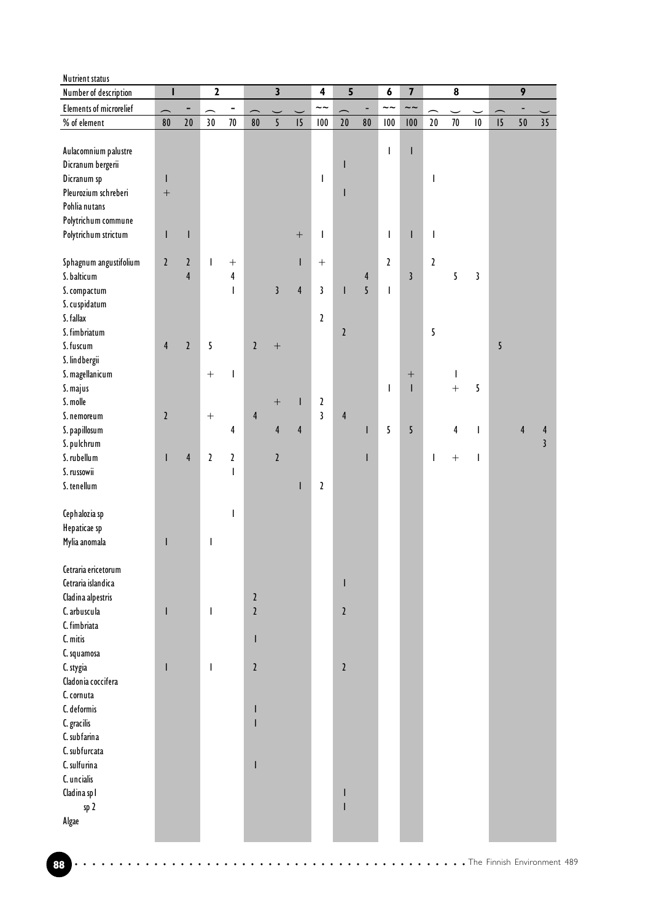| <b>Nutrient status</b>         |                          |                |                  |                          |                           |                         |                  |                         |                         |                         |                                       |                         |                                       |                          |                      |   |                  |                 |
|--------------------------------|--------------------------|----------------|------------------|--------------------------|---------------------------|-------------------------|------------------|-------------------------|-------------------------|-------------------------|---------------------------------------|-------------------------|---------------------------------------|--------------------------|----------------------|---|------------------|-----------------|
| Number of description          | т                        |                | $\mathbf 2$      |                          |                           | $\overline{\mathbf{3}}$ |                  | $\overline{\mathbf{4}}$ | $\overline{\mathbf{5}}$ |                         | 6                                     | $\overline{\mathbf{z}}$ |                                       | $\pmb{8}$                |                      |   | $\boldsymbol{9}$ |                 |
| <b>Elements of microrelief</b> | $\overline{\phantom{1}}$ | ۰              | ∽                | -                        |                           |                         |                  | $\sim\sim$              |                         | ÷,                      | $\sim\sim$                            | $\sim\sim$              |                                       |                          |                      |   |                  |                 |
| % of element                   | 80                       | $20\,$         | 30               | $70\,$                   | 80                        | $\overline{5}$          | 15               | 100                     | 20                      | 80                      | 100                                   | 100                     | $20\,$                                | 70                       | $\pmb{\mid} \pmb{0}$ | 5 | $50\,$           | 35 <sub>1</sub> |
|                                |                          |                |                  |                          |                           |                         |                  |                         |                         |                         |                                       |                         |                                       |                          |                      |   |                  |                 |
| Aulacomnium palustre           |                          |                |                  |                          |                           |                         |                  |                         |                         |                         | $\begin{array}{c} \hline \end{array}$ | I                       |                                       |                          |                      |   |                  |                 |
| Dicranum bergerii              |                          |                |                  |                          |                           |                         |                  |                         | ı                       |                         |                                       |                         |                                       |                          |                      |   |                  |                 |
| Dicranum sp                    | L                        |                |                  |                          |                           |                         |                  | $\mathsf{I}$            |                         |                         |                                       |                         | I                                     |                          |                      |   |                  |                 |
| Pleurozium schreberi           | $\! + \!$                |                |                  |                          |                           |                         |                  |                         |                         |                         |                                       |                         |                                       |                          |                      |   |                  |                 |
| Pohlia nutans                  |                          |                |                  |                          |                           |                         |                  |                         |                         |                         |                                       |                         |                                       |                          |                      |   |                  |                 |
| Polytrichum commune            |                          |                |                  |                          |                           |                         |                  |                         |                         |                         |                                       |                         |                                       |                          |                      |   |                  |                 |
| Polytrichum strictum           | T                        | $\mathsf I$    |                  |                          |                           |                         | $\boldsymbol{+}$ | $\mathbf{I}$            |                         |                         | $\overline{\phantom{a}}$              | L                       | $\begin{array}{c} \hline \end{array}$ |                          |                      |   |                  |                 |
|                                |                          |                |                  |                          |                           |                         |                  |                         |                         |                         |                                       |                         |                                       |                          |                      |   |                  |                 |
| Sphagnum angustifolium         | $\mathbf{2}$             | $\mathfrak z$  | $\mathbf{I}$     | $\boldsymbol{+}$         |                           |                         | T                | $\boldsymbol{+}$        |                         |                         | $\overline{2}$                        |                         | $\mathbf{2}$                          |                          |                      |   |                  |                 |
| S. balticum                    |                          | $\overline{4}$ |                  | $\overline{\mathbf{4}}$  |                           |                         |                  |                         |                         | $\overline{\mathbf{r}}$ |                                       | $\overline{\mathbf{3}}$ |                                       | 5                        | $\mathbf{3}$         |   |                  |                 |
| S. compactum                   |                          |                |                  | $\overline{1}$           |                           | $\overline{3}$          | $\overline{4}$   | $\mathbf{3}$            |                         | $\overline{5}$          | $\mathsf{I}$                          |                         |                                       |                          |                      |   |                  |                 |
| S. cuspidatum                  |                          |                |                  |                          |                           |                         |                  |                         |                         |                         |                                       |                         |                                       |                          |                      |   |                  |                 |
| S. fallax                      |                          |                |                  |                          |                           |                         |                  | $\mathbf{2}$            |                         |                         |                                       |                         |                                       |                          |                      |   |                  |                 |
| S. fimbriatum                  |                          |                |                  |                          |                           |                         |                  |                         | $\mathbf{2}$            |                         |                                       |                         | 5                                     |                          |                      |   |                  |                 |
| S. fuscum                      | $\overline{4}$           | $\mathfrak z$  | 5                |                          | $\overline{2}$            | $^{+}$                  |                  |                         |                         |                         |                                       |                         |                                       |                          |                      | 5 |                  |                 |
| S. lindbergii                  |                          |                |                  |                          |                           |                         |                  |                         |                         |                         |                                       |                         |                                       |                          |                      |   |                  |                 |
| S. magellanicum                |                          |                | $\boldsymbol{+}$ | $\overline{\phantom{a}}$ |                           |                         |                  |                         |                         |                         |                                       | $\boldsymbol{+}$        |                                       | $\overline{\phantom{a}}$ |                      |   |                  |                 |
| S. majus                       |                          |                |                  |                          |                           |                         |                  |                         |                         |                         | $\begin{array}{c} \hline \end{array}$ | $\mathbf{I}$            |                                       | $\ddot{}$                | 5                    |   |                  |                 |
| S. molle                       |                          |                |                  |                          |                           |                         | $\mathbf{I}$     | $\mathbf{2}$            |                         |                         |                                       |                         |                                       |                          |                      |   |                  |                 |
| S. nemoreum                    | $\mathfrak{z}$           |                |                  |                          | $\overline{4}$            | $\boldsymbol{+}$        |                  | $\overline{\mathbf{3}}$ | $\overline{4}$          |                         |                                       |                         |                                       |                          |                      |   |                  |                 |
|                                |                          |                |                  |                          |                           |                         | $\overline{4}$   |                         |                         |                         | 5                                     | 5 <sup>5</sup>          |                                       |                          |                      |   |                  |                 |
| S. papillosum                  |                          |                |                  | 4                        |                           | $\overline{4}$          |                  |                         |                         | T                       |                                       |                         |                                       | $\overline{4}$           | T                    |   | 4                | 4               |
| S. pulchrum                    |                          |                |                  |                          |                           |                         |                  |                         |                         |                         |                                       |                         |                                       |                          |                      |   |                  | $\overline{3}$  |
| S. rubellum                    | T                        | $\overline{4}$ | $\mathbf{2}$     | $\mathbf{2}$             |                           | $\mathbf{2}$            |                  |                         |                         | T                       |                                       |                         | $\overline{\phantom{a}}$              | $\! + \!$                | $\mathsf{I}$         |   |                  |                 |
| S. russowii                    |                          |                |                  | $\overline{1}$           |                           |                         |                  |                         |                         |                         |                                       |                         |                                       |                          |                      |   |                  |                 |
| S. tenellum                    |                          |                |                  |                          |                           |                         | $\mathsf I$      | $\mathbf{2}$            |                         |                         |                                       |                         |                                       |                          |                      |   |                  |                 |
|                                |                          |                |                  |                          |                           |                         |                  |                         |                         |                         |                                       |                         |                                       |                          |                      |   |                  |                 |
| Cephalozia sp                  |                          |                |                  | $\mathbf{I}$             |                           |                         |                  |                         |                         |                         |                                       |                         |                                       |                          |                      |   |                  |                 |
| Hepaticae sp                   |                          |                |                  |                          |                           |                         |                  |                         |                         |                         |                                       |                         |                                       |                          |                      |   |                  |                 |
| Mylia anomala                  | I                        |                | $\mathsf I$      |                          |                           |                         |                  |                         |                         |                         |                                       |                         |                                       |                          |                      |   |                  |                 |
|                                |                          |                |                  |                          |                           |                         |                  |                         |                         |                         |                                       |                         |                                       |                          |                      |   |                  |                 |
| Cetraria ericetorum            |                          |                |                  |                          |                           |                         |                  |                         |                         |                         |                                       |                         |                                       |                          |                      |   |                  |                 |
| Cetraria islandica             |                          |                |                  |                          |                           |                         |                  |                         |                         |                         |                                       |                         |                                       |                          |                      |   |                  |                 |
| Cladina alpestris              |                          |                |                  |                          | $\boldsymbol{\mathsf{2}}$ |                         |                  |                         |                         |                         |                                       |                         |                                       |                          |                      |   |                  |                 |
| C. arbuscula                   | $\mathsf{I}$             |                | T                |                          | $\mathfrak{z}$            |                         |                  |                         | $\mathbf{2}$            |                         |                                       |                         |                                       |                          |                      |   |                  |                 |
| C. fimbriata                   |                          |                |                  |                          |                           |                         |                  |                         |                         |                         |                                       |                         |                                       |                          |                      |   |                  |                 |
| C. mitis                       |                          |                |                  |                          | $\mathsf I$               |                         |                  |                         |                         |                         |                                       |                         |                                       |                          |                      |   |                  |                 |
| C. squamosa                    |                          |                |                  |                          |                           |                         |                  |                         |                         |                         |                                       |                         |                                       |                          |                      |   |                  |                 |
| C. stygia                      | $\mathsf I$              |                | T                |                          | $\boldsymbol{\mathsf{2}}$ |                         |                  |                         | $\mathbf{2}$            |                         |                                       |                         |                                       |                          |                      |   |                  |                 |
| Cladonia coccifera             |                          |                |                  |                          |                           |                         |                  |                         |                         |                         |                                       |                         |                                       |                          |                      |   |                  |                 |
| C. cornuta                     |                          |                |                  |                          |                           |                         |                  |                         |                         |                         |                                       |                         |                                       |                          |                      |   |                  |                 |
| C. deformis                    |                          |                |                  |                          | $\mathsf I$               |                         |                  |                         |                         |                         |                                       |                         |                                       |                          |                      |   |                  |                 |
| C. gracilis                    |                          |                |                  |                          | I                         |                         |                  |                         |                         |                         |                                       |                         |                                       |                          |                      |   |                  |                 |
| C. subfarina                   |                          |                |                  |                          |                           |                         |                  |                         |                         |                         |                                       |                         |                                       |                          |                      |   |                  |                 |
| C. subfurcata                  |                          |                |                  |                          |                           |                         |                  |                         |                         |                         |                                       |                         |                                       |                          |                      |   |                  |                 |
| C. sulfurina                   |                          |                |                  |                          | I                         |                         |                  |                         |                         |                         |                                       |                         |                                       |                          |                      |   |                  |                 |
| C. uncialis                    |                          |                |                  |                          |                           |                         |                  |                         |                         |                         |                                       |                         |                                       |                          |                      |   |                  |                 |
| Cladina spl                    |                          |                |                  |                          |                           |                         |                  |                         |                         |                         |                                       |                         |                                       |                          |                      |   |                  |                 |
| sp 2                           |                          |                |                  |                          |                           |                         |                  |                         |                         |                         |                                       |                         |                                       |                          |                      |   |                  |                 |
| Algae                          |                          |                |                  |                          |                           |                         |                  |                         |                         |                         |                                       |                         |                                       |                          |                      |   |                  |                 |
|                                |                          |                |                  |                          |                           |                         |                  |                         |                         |                         |                                       |                         |                                       |                          |                      |   |                  |                 |
|                                |                          |                |                  |                          |                           |                         |                  |                         |                         |                         |                                       |                         |                                       |                          |                      |   |                  |                 |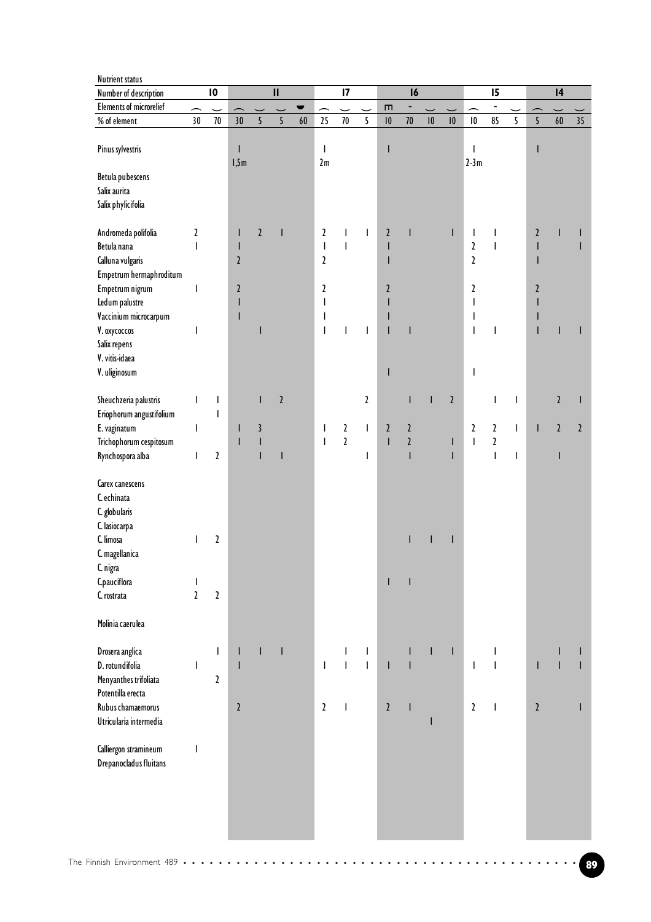| Number of description          |               | $\overline{10}$           |                          |                | $\mathbf{II}$  |    |                          | $\overline{17}$        |                                          |               | $\overline{16}$         |    |                |                           | $\overline{15}$          |              |                | 4                         |                |
|--------------------------------|---------------|---------------------------|--------------------------|----------------|----------------|----|--------------------------|------------------------|------------------------------------------|---------------|-------------------------|----|----------------|---------------------------|--------------------------|--------------|----------------|---------------------------|----------------|
| <b>Elements of microrelief</b> |               |                           |                          |                |                |    |                          |                        |                                          | m             |                         |    |                |                           |                          |              |                |                           |                |
| % of element                   | 30            | 70                        | $\overline{30}$          | $\overline{5}$ | 5              | 60 | 25                       | $70\,$                 | 5                                        | 10            | 70                      | 10 | 0              | $\pmb{\mid} \pmb{0}$      | 85                       | 5            | $\overline{5}$ | $60\,$                    | 35             |
|                                |               |                           |                          |                |                |    |                          |                        |                                          |               |                         |    |                |                           |                          |              |                |                           |                |
| Pinus sylvestris               |               |                           | $\mathsf{I}$             |                |                |    | $\overline{\phantom{a}}$ |                        |                                          | ı             |                         |    |                | I                         |                          |              |                |                           |                |
|                                |               |                           | 1,5m                     |                |                |    | 2m                       |                        |                                          |               |                         |    |                | $2-3m$                    |                          |              |                |                           |                |
| Betula pubescens               |               |                           |                          |                |                |    |                          |                        |                                          |               |                         |    |                |                           |                          |              |                |                           |                |
| Salix aurita                   |               |                           |                          |                |                |    |                          |                        |                                          |               |                         |    |                |                           |                          |              |                |                           |                |
| Salix phylicifolia             |               |                           |                          |                |                |    |                          |                        |                                          |               |                         |    |                |                           |                          |              |                |                           |                |
|                                |               |                           |                          |                |                |    |                          |                        |                                          |               |                         |    |                |                           |                          |              |                |                           |                |
| Andromeda polifolia            | $\mathfrak z$ |                           | I                        | $\overline{2}$ | $\mathsf{I}$   |    | $\mathbf{2}$             | $\overline{1}$         | $\mathbf{I}$                             | $\mathfrak z$ | Ī                       |    | T              | $\mathbf{I}$              |                          |              | $\mathfrak z$  | ı                         |                |
| Betula nana                    | T             |                           | $\mathsf{I}$             |                |                |    | $\mathsf I$              | $\overline{1}$         |                                          |               |                         |    |                | $\boldsymbol{\mathsf{2}}$ | $\overline{1}$           |              |                |                           |                |
| Calluna vulgaris               |               |                           | $\mathfrak z$            |                |                |    | $\boldsymbol{\lambda}$   |                        |                                          |               |                         |    |                | $\mathfrak z$             |                          |              | ı              |                           |                |
|                                |               |                           |                          |                |                |    |                          |                        |                                          |               |                         |    |                |                           |                          |              |                |                           |                |
| Empetrum hermaphroditum        |               |                           |                          |                |                |    |                          |                        |                                          |               |                         |    |                |                           |                          |              |                |                           |                |
| Empetrum nigrum                | I             |                           | $\mathfrak z$            |                |                |    | $\boldsymbol{\lambda}$   |                        |                                          | 2             |                         |    |                | $\mathfrak z$             |                          |              | $\mathfrak z$  |                           |                |
| Ledum palustre                 |               |                           | ı                        |                |                |    | $\mathsf{l}$             |                        |                                          |               |                         |    |                | $\mathsf{l}$              |                          |              |                |                           |                |
| Vaccinium microcarpum          |               |                           | ı                        |                |                |    | $\mathsf{l}$             |                        |                                          |               |                         |    |                | $\mathbf{I}$              |                          |              | ı              |                           |                |
| V. oxycoccos                   | T             |                           |                          |                |                |    | $\overline{\phantom{a}}$ |                        | $\overline{1}$                           |               |                         |    |                | $\overline{\phantom{a}}$  | I                        |              | $\mathsf I$    |                           |                |
| Salix repens                   |               |                           |                          |                |                |    |                          |                        |                                          |               |                         |    |                |                           |                          |              |                |                           |                |
| V. vitis-idaea                 |               |                           |                          |                |                |    |                          |                        |                                          |               |                         |    |                |                           |                          |              |                |                           |                |
| V. uliginosum                  |               |                           |                          |                |                |    |                          |                        |                                          |               |                         |    |                | $\mathbf{I}$              |                          |              |                |                           |                |
|                                |               |                           |                          |                |                |    |                          |                        |                                          |               |                         |    |                |                           |                          |              |                |                           |                |
| Sheuchzeria palustris          | T             | T                         |                          |                | $\mathfrak{z}$ |    |                          |                        | $\mathbf{2}$                             |               | T                       | T  | $\mathfrak{z}$ |                           | T                        | I            |                | $\boldsymbol{\mathsf{2}}$ |                |
| Eriophorum angustifolium       |               | T                         |                          |                |                |    |                          |                        |                                          |               |                         |    |                |                           |                          |              |                |                           |                |
| E. vaginatum                   | T             |                           | $\mathsf{I}$             | $\mathfrak z$  |                |    | $\mathbf{I}$             | $\boldsymbol{\lambda}$ | $\overline{\phantom{a}}$                 | $\mathfrak z$ | $\mathfrak z$           |    |                | $\overline{2}$            | $\mathbf{2}$             | L            | $\mathsf{I}$   | $\mathfrak{z}$            | $\mathfrak{z}$ |
| Trichophorum cespitosum        |               |                           | I                        |                |                |    | $\overline{\phantom{a}}$ | $\overline{2}$         |                                          | I             | $\overline{\mathbf{r}}$ |    | ı              | $\overline{\phantom{a}}$  | $\mathfrak z$            |              |                |                           |                |
| Rynchospora alba               | I             | $\boldsymbol{\mathsf{2}}$ |                          |                | ı              |    |                          |                        | T                                        |               | $\overline{1}$          |    | ı              |                           | $\overline{\phantom{a}}$ | $\mathsf{I}$ |                | I                         |                |
|                                |               |                           |                          |                |                |    |                          |                        |                                          |               |                         |    |                |                           |                          |              |                |                           |                |
| Carex canescens                |               |                           |                          |                |                |    |                          |                        |                                          |               |                         |    |                |                           |                          |              |                |                           |                |
| C. echinata                    |               |                           |                          |                |                |    |                          |                        |                                          |               |                         |    |                |                           |                          |              |                |                           |                |
| C. globularis                  |               |                           |                          |                |                |    |                          |                        |                                          |               |                         |    |                |                           |                          |              |                |                           |                |
| C. lasiocarpa                  |               |                           |                          |                |                |    |                          |                        |                                          |               |                         |    |                |                           |                          |              |                |                           |                |
| C. limosa                      | $\mathsf{I}$  | $\boldsymbol{\mathsf{2}}$ |                          |                |                |    |                          |                        |                                          |               |                         | ı  | $\mathsf I$    |                           |                          |              |                |                           |                |
| C. magellanica                 |               |                           |                          |                |                |    |                          |                        |                                          |               |                         |    |                |                           |                          |              |                |                           |                |
| C. nigra                       |               |                           |                          |                |                |    |                          |                        |                                          |               |                         |    |                |                           |                          |              |                |                           |                |
| C.pauciflora                   | I             |                           |                          |                |                |    |                          |                        |                                          |               |                         |    |                |                           |                          |              |                |                           |                |
| C. rostrata                    | $\mathfrak z$ | $\boldsymbol{\mathsf{2}}$ |                          |                |                |    |                          |                        |                                          |               |                         |    |                |                           |                          |              |                |                           |                |
|                                |               |                           |                          |                |                |    |                          |                        |                                          |               |                         |    |                |                           |                          |              |                |                           |                |
| Molinia caerulea               |               |                           |                          |                |                |    |                          |                        |                                          |               |                         |    |                |                           |                          |              |                |                           |                |
| Drosera anglica                |               | T                         |                          |                | I              |    |                          | ı                      |                                          |               |                         | ı  | $\mathsf{l}$   |                           |                          |              |                |                           |                |
|                                |               |                           |                          |                |                |    |                          | $\overline{1}$         | $\mathsf{l}$<br>$\overline{\phantom{a}}$ |               |                         |    |                |                           | $\overline{1}$           |              |                |                           |                |
| D. rotundifolia                | T             |                           | $\overline{\phantom{a}}$ |                |                |    | $\overline{\phantom{a}}$ |                        |                                          | ı             |                         |    |                | $\overline{\phantom{a}}$  |                          |              | I              |                           |                |
| Menyanthes trifoliata          |               | $\boldsymbol{\lambda}$    |                          |                |                |    |                          |                        |                                          |               |                         |    |                |                           |                          |              |                |                           |                |
| Potentilla erecta              |               |                           |                          |                |                |    |                          |                        |                                          |               |                         |    |                |                           |                          |              |                |                           |                |
| Rubus chamaemorus              |               |                           | $\sqrt{2}$               |                |                |    | $\mathfrak z$            | $\mathbf{I}$           |                                          | $\sqrt{2}$    |                         |    |                | $\overline{2}$            | $\overline{\phantom{a}}$ |              | $\mathfrak{z}$ |                           |                |
| Utricularia intermedia         |               |                           |                          |                |                |    |                          |                        |                                          |               |                         | T  |                |                           |                          |              |                |                           |                |
|                                |               |                           |                          |                |                |    |                          |                        |                                          |               |                         |    |                |                           |                          |              |                |                           |                |
| Calliergon stramineum          | I             |                           |                          |                |                |    |                          |                        |                                          |               |                         |    |                |                           |                          |              |                |                           |                |
| Drepanocladus fluitans         |               |                           |                          |                |                |    |                          |                        |                                          |               |                         |    |                |                           |                          |              |                |                           |                |
|                                |               |                           |                          |                |                |    |                          |                        |                                          |               |                         |    |                |                           |                          |              |                |                           |                |
|                                |               |                           |                          |                |                |    |                          |                        |                                          |               |                         |    |                |                           |                          |              |                |                           |                |
|                                |               |                           |                          |                |                |    |                          |                        |                                          |               |                         |    |                |                           |                          |              |                |                           |                |
|                                |               |                           |                          |                |                |    |                          |                        |                                          |               |                         |    |                |                           |                          |              |                |                           |                |
|                                |               |                           |                          |                |                |    |                          |                        |                                          |               |                         |    |                |                           |                          |              |                |                           |                |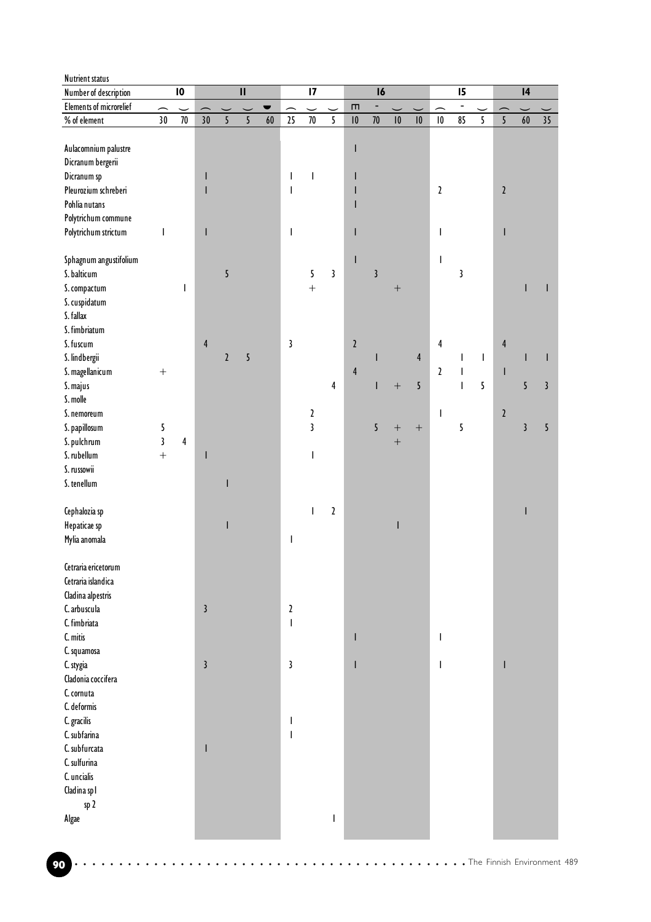| <b>Nutrient status</b>         |                          |                          |                |              |                            |                |                           |                           |                          |                      |                          |                          |                      |                         |                          |                          |                |                          |    |
|--------------------------------|--------------------------|--------------------------|----------------|--------------|----------------------------|----------------|---------------------------|---------------------------|--------------------------|----------------------|--------------------------|--------------------------|----------------------|-------------------------|--------------------------|--------------------------|----------------|--------------------------|----|
| Number of description          |                          | $\mathbf{I}$             |                |              | $\boldsymbol{\mathsf{II}}$ |                |                           | $\overline{17}$           |                          |                      | 16                       |                          |                      |                         | 15                       |                          |                | $\mathbf{I}$             |    |
| <b>Elements of microrelief</b> | $\overline{\phantom{0}}$ | $\overline{\phantom{0}}$ |                |              | $\overline{\phantom{0}}$   | $\blacksquare$ | $\overline{\phantom{1}}$  | $\overline{\phantom{0}}$  | $\overline{\phantom{0}}$ | $\blacksquare$       | $\overline{\phantom{a}}$ | $\overline{\phantom{0}}$ |                      | ∽                       | $\overline{\phantom{a}}$ |                          |                | $\overline{\phantom{0}}$ |    |
| % of element                   | 30 <sup>°</sup>          | $70\,$                   | 30             | 5            | 5                          | $60\,$         | 25                        | $70\,$                    | 5                        | $\pmb{\mid} \pmb{0}$ | $70\,$                   | $\pmb{\mid} \pmb{0}$     | $\pmb{\mid} \pmb{0}$ | $\pmb{\mid} \pmb{0}$    | 85                       | 5                        | 5              | $\bf 60$                 | 35 |
|                                |                          |                          |                |              |                            |                |                           |                           |                          |                      |                          |                          |                      |                         |                          |                          |                |                          |    |
| Aulacomnium palustre           |                          |                          |                |              |                            |                |                           |                           |                          | I                    |                          |                          |                      |                         |                          |                          |                |                          |    |
| Dicranum bergerii              |                          |                          |                |              |                            |                |                           |                           |                          |                      |                          |                          |                      |                         |                          |                          |                |                          |    |
| Dicranum sp                    |                          |                          | ı              |              |                            |                | $\overline{\phantom{a}}$  | ı                         |                          | ı                    |                          |                          |                      |                         |                          |                          |                |                          |    |
| Pleurozium schreberi           |                          |                          |                |              |                            |                | $\overline{\phantom{a}}$  |                           |                          | ı                    |                          |                          |                      | $\mathbf{2}$            |                          |                          | $\mathfrak z$  |                          |    |
| Pohlia nutans                  |                          |                          |                |              |                            |                |                           |                           |                          | ı                    |                          |                          |                      |                         |                          |                          |                |                          |    |
| Polytrichum commune            |                          |                          |                |              |                            |                |                           |                           |                          |                      |                          |                          |                      |                         |                          |                          |                |                          |    |
| Polytrichum strictum           | I                        |                          | T              |              |                            |                | I                         |                           |                          | T                    |                          |                          |                      | I                       |                          |                          | T              |                          |    |
|                                |                          |                          |                |              |                            |                |                           |                           |                          |                      |                          |                          |                      |                         |                          |                          |                |                          |    |
|                                |                          |                          |                |              |                            |                |                           |                           |                          | T                    |                          |                          |                      | $\mathsf{I}$            |                          |                          |                |                          |    |
| Sphagnum angustifolium         |                          |                          |                |              |                            |                |                           |                           | $\mathbf{3}$             |                      | $\mathfrak{z}$           |                          |                      |                         | $\mathfrak z$            |                          |                |                          |    |
| S. balticum                    |                          |                          |                | 5            |                            |                |                           | 5                         |                          |                      |                          |                          |                      |                         |                          |                          |                |                          |    |
| S. compactum                   |                          | T                        |                |              |                            |                |                           | $\ddot{}$                 |                          |                      |                          | $+$                      |                      |                         |                          |                          |                |                          |    |
| S. cuspidatum                  |                          |                          |                |              |                            |                |                           |                           |                          |                      |                          |                          |                      |                         |                          |                          |                |                          |    |
| S. fallax                      |                          |                          |                |              |                            |                |                           |                           |                          |                      |                          |                          |                      |                         |                          |                          |                |                          |    |
| S. fimbriatum                  |                          |                          |                |              |                            |                |                           |                           |                          |                      |                          |                          |                      |                         |                          |                          |                |                          |    |
| S. fuscum                      |                          |                          | $\overline{4}$ |              |                            |                | 3                         |                           |                          | $\sqrt{2}$           |                          |                          |                      | $\overline{\mathbf{4}}$ |                          |                          | $\overline{4}$ |                          |    |
| S. lindbergii                  |                          |                          |                | $\mathbf{2}$ | 5                          |                |                           |                           |                          |                      | ı                        |                          | 4                    |                         | $\mathsf{I}$             | $\overline{\phantom{a}}$ |                |                          |    |
| S. magellanicum                | $\boldsymbol{+}$         |                          |                |              |                            |                |                           |                           |                          | $\overline{4}$       |                          |                          |                      | $\mathbf{2}$            | $\mathsf I$              |                          | $\mathsf{l}$   |                          |    |
| S. majus                       |                          |                          |                |              |                            |                |                           |                           | 4                        |                      | T                        | $\overline{+}$           | 5                    |                         | $\mathsf{I}$             | 5                        |                | 5                        | 3  |
| S. molle                       |                          |                          |                |              |                            |                |                           |                           |                          |                      |                          |                          |                      |                         |                          |                          |                |                          |    |
| S. nemoreum                    |                          |                          |                |              |                            |                |                           | $\boldsymbol{\mathsf{2}}$ |                          |                      |                          |                          |                      | $\mathbf{I}$            |                          |                          | $\mathfrak z$  |                          |    |
| S. papillosum                  | 5                        |                          |                |              |                            |                |                           | $\overline{\mathbf{3}}$   |                          |                      | 5                        | $\boldsymbol{+}$         | $+$                  |                         | 5                        |                          |                | $\mathbf{3}$             | 5  |
| S. pulchrum                    | $\overline{\mathbf{3}}$  | $\overline{4}$           |                |              |                            |                |                           |                           |                          |                      |                          | $\boldsymbol{+}$         |                      |                         |                          |                          |                |                          |    |
| S. rubellum                    | $\ddot{}$                |                          | ı              |              |                            |                |                           | ı                         |                          |                      |                          |                          |                      |                         |                          |                          |                |                          |    |
| S. russowii                    |                          |                          |                |              |                            |                |                           |                           |                          |                      |                          |                          |                      |                         |                          |                          |                |                          |    |
| S. tenellum                    |                          |                          |                |              |                            |                |                           |                           |                          |                      |                          |                          |                      |                         |                          |                          |                |                          |    |
|                                |                          |                          |                |              |                            |                |                           |                           |                          |                      |                          |                          |                      |                         |                          |                          |                |                          |    |
| Cephalozia sp                  |                          |                          |                |              |                            |                |                           | T                         | $\mathbf{2}$             |                      |                          |                          |                      |                         |                          |                          |                |                          |    |
| Hepaticae sp                   |                          |                          |                |              |                            |                |                           |                           |                          |                      |                          | $\mathsf{l}$             |                      |                         |                          |                          |                |                          |    |
| Mylia anomala                  |                          |                          |                |              |                            |                | I                         |                           |                          |                      |                          |                          |                      |                         |                          |                          |                |                          |    |
|                                |                          |                          |                |              |                            |                |                           |                           |                          |                      |                          |                          |                      |                         |                          |                          |                |                          |    |
| Cetraria ericetorum            |                          |                          |                |              |                            |                |                           |                           |                          |                      |                          |                          |                      |                         |                          |                          |                |                          |    |
| Cetraria islandica             |                          |                          |                |              |                            |                |                           |                           |                          |                      |                          |                          |                      |                         |                          |                          |                |                          |    |
|                                |                          |                          |                |              |                            |                |                           |                           |                          |                      |                          |                          |                      |                         |                          |                          |                |                          |    |
| Cladina alpestris              |                          |                          |                |              |                            |                |                           |                           |                          |                      |                          |                          |                      |                         |                          |                          |                |                          |    |
| C. arbuscula                   |                          |                          | $\mathbf{3}$   |              |                            |                | $\boldsymbol{\mathsf{2}}$ |                           |                          |                      |                          |                          |                      |                         |                          |                          |                |                          |    |
| C. fimbriata                   |                          |                          |                |              |                            |                | $\overline{\phantom{a}}$  |                           |                          |                      |                          |                          |                      |                         |                          |                          |                |                          |    |
| C. mitis                       |                          |                          |                |              |                            |                |                           |                           |                          | I                    |                          |                          |                      | T                       |                          |                          |                |                          |    |
| C. squamosa                    |                          |                          |                |              |                            |                |                           |                           |                          |                      |                          |                          |                      |                         |                          |                          |                |                          |    |
| C. stygia                      |                          |                          | $\mathbf{3}$   |              |                            |                | 3                         |                           |                          | T                    |                          |                          |                      | T                       |                          |                          | т              |                          |    |
| Cladonia coccifera             |                          |                          |                |              |                            |                |                           |                           |                          |                      |                          |                          |                      |                         |                          |                          |                |                          |    |
| C. cornuta                     |                          |                          |                |              |                            |                |                           |                           |                          |                      |                          |                          |                      |                         |                          |                          |                |                          |    |
| C. deformis                    |                          |                          |                |              |                            |                |                           |                           |                          |                      |                          |                          |                      |                         |                          |                          |                |                          |    |
| C. gracilis                    |                          |                          |                |              |                            |                | ı                         |                           |                          |                      |                          |                          |                      |                         |                          |                          |                |                          |    |
| C. subfarina                   |                          |                          |                |              |                            |                | I                         |                           |                          |                      |                          |                          |                      |                         |                          |                          |                |                          |    |
| C. subfurcata                  |                          |                          | T              |              |                            |                |                           |                           |                          |                      |                          |                          |                      |                         |                          |                          |                |                          |    |
| C. sulfurina                   |                          |                          |                |              |                            |                |                           |                           |                          |                      |                          |                          |                      |                         |                          |                          |                |                          |    |
| C. uncialis                    |                          |                          |                |              |                            |                |                           |                           |                          |                      |                          |                          |                      |                         |                          |                          |                |                          |    |
| Cladina spl                    |                          |                          |                |              |                            |                |                           |                           |                          |                      |                          |                          |                      |                         |                          |                          |                |                          |    |
| sp 2                           |                          |                          |                |              |                            |                |                           |                           |                          |                      |                          |                          |                      |                         |                          |                          |                |                          |    |
| Algae                          |                          |                          |                |              |                            |                |                           |                           | I                        |                      |                          |                          |                      |                         |                          |                          |                |                          |    |
|                                |                          |                          |                |              |                            |                |                           |                           |                          |                      |                          |                          |                      |                         |                          |                          |                |                          |    |
|                                |                          |                          |                |              |                            |                |                           |                           |                          |                      |                          |                          |                      |                         |                          |                          |                |                          |    |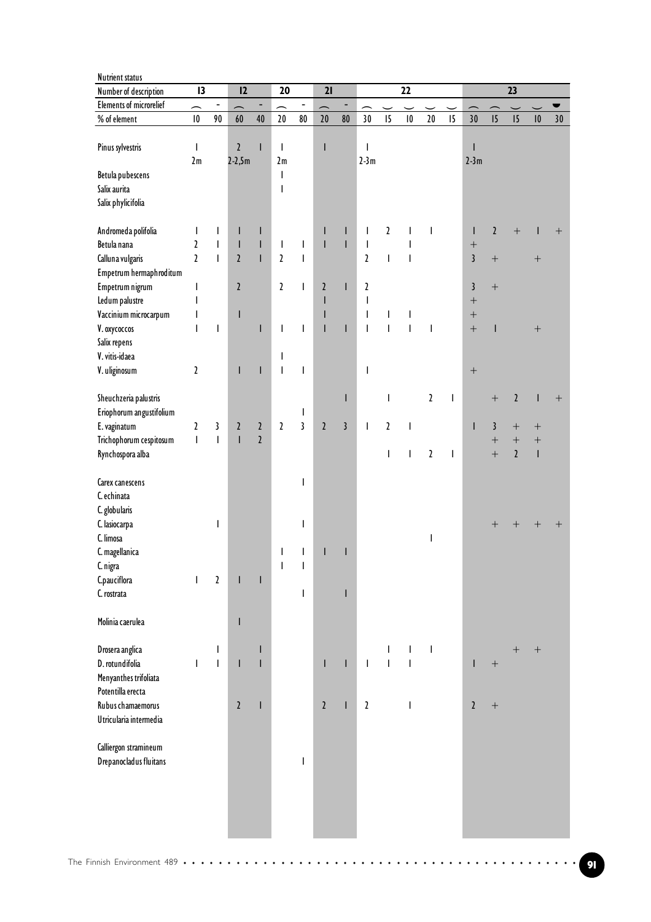| <b>Nutrient status</b>         |                          |                           |                                |                                       |                          |                          |                                                                                                                                                                                                                                                                                                                                                                                                                |                                                                                                                                                                                                                                                                                                                                                                                                                |                          |                                                                                                                                                                                                                                                                                                                                                                                  |                                       |                |                          |                                    |                                       |                          |                      |                  |  |
|--------------------------------|--------------------------|---------------------------|--------------------------------|---------------------------------------|--------------------------|--------------------------|----------------------------------------------------------------------------------------------------------------------------------------------------------------------------------------------------------------------------------------------------------------------------------------------------------------------------------------------------------------------------------------------------------------|----------------------------------------------------------------------------------------------------------------------------------------------------------------------------------------------------------------------------------------------------------------------------------------------------------------------------------------------------------------------------------------------------------------|--------------------------|----------------------------------------------------------------------------------------------------------------------------------------------------------------------------------------------------------------------------------------------------------------------------------------------------------------------------------------------------------------------------------|---------------------------------------|----------------|--------------------------|------------------------------------|---------------------------------------|--------------------------|----------------------|------------------|--|
| Number of description          | 13                       |                           | 12                             |                                       | 20                       |                          | 21                                                                                                                                                                                                                                                                                                                                                                                                             |                                                                                                                                                                                                                                                                                                                                                                                                                |                          |                                                                                                                                                                                                                                                                                                                                                                                  | 22                                    |                |                          |                                    |                                       | 23                       |                      |                  |  |
| <b>Elements of microrelief</b> | $\overline{\phantom{1}}$ | $\overline{\phantom{0}}$  | $\overline{\phantom{0}}$       | -                                     | $\overline{\phantom{0}}$ | $\overline{\phantom{a}}$ | $\overline{\phantom{0}}$                                                                                                                                                                                                                                                                                                                                                                                       | -                                                                                                                                                                                                                                                                                                                                                                                                              |                          |                                                                                                                                                                                                                                                                                                                                                                                  | $\overline{\phantom{0}}$              |                |                          |                                    |                                       | $\overline{\phantom{0}}$ |                      |                  |  |
| % of element                   | $\pmb{\mid} \pmb{0}$     | 90                        | $\bf 60$                       | 40                                    | $20\,$                   | $80\,$                   | $20\,$                                                                                                                                                                                                                                                                                                                                                                                                         | ${\bf 80}$                                                                                                                                                                                                                                                                                                                                                                                                     | 30                       | 15                                                                                                                                                                                                                                                                                                                                                                               | 10                                    | $20\,$         | $\overline{15}$          | 30                                 | 5                                     | 15                       | $\pmb{\mid} \pmb{0}$ | 30               |  |
|                                |                          |                           |                                |                                       |                          |                          |                                                                                                                                                                                                                                                                                                                                                                                                                |                                                                                                                                                                                                                                                                                                                                                                                                                |                          |                                                                                                                                                                                                                                                                                                                                                                                  |                                       |                |                          |                                    |                                       |                          |                      |                  |  |
| Pinus sylvestris               | T                        |                           | $\mathbf{2}$                   | I                                     | T                        |                          | I                                                                                                                                                                                                                                                                                                                                                                                                              |                                                                                                                                                                                                                                                                                                                                                                                                                | T                        |                                                                                                                                                                                                                                                                                                                                                                                  |                                       |                |                          |                                    |                                       |                          |                      |                  |  |
|                                | 2m                       |                           | $2 - 2,5m$                     |                                       | 2m                       |                          |                                                                                                                                                                                                                                                                                                                                                                                                                |                                                                                                                                                                                                                                                                                                                                                                                                                | $2-3m$                   |                                                                                                                                                                                                                                                                                                                                                                                  |                                       |                |                          | $2-3m$                             |                                       |                          |                      |                  |  |
| Betula pubescens               |                          |                           |                                |                                       | T                        |                          |                                                                                                                                                                                                                                                                                                                                                                                                                |                                                                                                                                                                                                                                                                                                                                                                                                                |                          |                                                                                                                                                                                                                                                                                                                                                                                  |                                       |                |                          |                                    |                                       |                          |                      |                  |  |
| Salix aurita                   |                          |                           |                                |                                       | I                        |                          |                                                                                                                                                                                                                                                                                                                                                                                                                |                                                                                                                                                                                                                                                                                                                                                                                                                |                          |                                                                                                                                                                                                                                                                                                                                                                                  |                                       |                |                          |                                    |                                       |                          |                      |                  |  |
| Salix phylicifolia             |                          |                           |                                |                                       |                          |                          |                                                                                                                                                                                                                                                                                                                                                                                                                |                                                                                                                                                                                                                                                                                                                                                                                                                |                          |                                                                                                                                                                                                                                                                                                                                                                                  |                                       |                |                          |                                    |                                       |                          |                      |                  |  |
|                                |                          |                           |                                |                                       |                          |                          |                                                                                                                                                                                                                                                                                                                                                                                                                |                                                                                                                                                                                                                                                                                                                                                                                                                |                          |                                                                                                                                                                                                                                                                                                                                                                                  |                                       |                |                          |                                    |                                       |                          |                      |                  |  |
| Andromeda polifolia            | T                        | I                         | L                              | $\mathsf I$                           |                          |                          | I                                                                                                                                                                                                                                                                                                                                                                                                              | I                                                                                                                                                                                                                                                                                                                                                                                                              | T                        | $\boldsymbol{\lambda}$                                                                                                                                                                                                                                                                                                                                                           | $\overline{\phantom{a}}$              | I              |                          | T                                  | $\mathfrak{p}$                        | $+$                      | ı                    | $^{+}$           |  |
| Betula nana                    | $\mathbf{z}$             | T                         | $\mathsf{I}$<br>$\overline{2}$ | $\mathsf I$                           | $\mathbf{I}$             | T                        | $\overline{1}$                                                                                                                                                                                                                                                                                                                                                                                                 | T                                                                                                                                                                                                                                                                                                                                                                                                              | $\mathbf{I}$             |                                                                                                                                                                                                                                                                                                                                                                                  | I                                     |                |                          | $\boldsymbol{+}$<br>$\overline{3}$ |                                       |                          |                      |                  |  |
| Calluna vulgaris               | $\overline{a}$           | $\overline{\phantom{a}}$  |                                | $\overline{1}$                        | $\overline{\mathbf{r}}$  | I                        |                                                                                                                                                                                                                                                                                                                                                                                                                |                                                                                                                                                                                                                                                                                                                                                                                                                | $\mathfrak{c}$           | $\begin{array}{c} \rule{0pt}{2.5ex} \rule{0pt}{2.5ex} \rule{0pt}{2.5ex} \rule{0pt}{2.5ex} \rule{0pt}{2.5ex} \rule{0pt}{2.5ex} \rule{0pt}{2.5ex} \rule{0pt}{2.5ex} \rule{0pt}{2.5ex} \rule{0pt}{2.5ex} \rule{0pt}{2.5ex} \rule{0pt}{2.5ex} \rule{0pt}{2.5ex} \rule{0pt}{2.5ex} \rule{0pt}{2.5ex} \rule{0pt}{2.5ex} \rule{0pt}{2.5ex} \rule{0pt}{2.5ex} \rule{0pt}{2.5ex} \rule{0$ | $\overline{\phantom{a}}$              |                |                          |                                    | $\boldsymbol{+}$                      |                          | $+$                  |                  |  |
| Empetrum hermaphroditum        |                          |                           |                                |                                       |                          |                          |                                                                                                                                                                                                                                                                                                                                                                                                                |                                                                                                                                                                                                                                                                                                                                                                                                                |                          |                                                                                                                                                                                                                                                                                                                                                                                  |                                       |                |                          |                                    |                                       |                          |                      |                  |  |
| Empetrum nigrum                | $\mathsf I$              |                           | $\mathbf{2}$                   |                                       | $\mathfrak z$            | Т                        | $\mathfrak z$                                                                                                                                                                                                                                                                                                                                                                                                  | T                                                                                                                                                                                                                                                                                                                                                                                                              | $\mathbf{2}$             |                                                                                                                                                                                                                                                                                                                                                                                  |                                       |                |                          | $\mathbf{3}$                       | $+$                                   |                          |                      |                  |  |
| Ledum palustre                 | T                        |                           |                                |                                       |                          |                          | $\begin{array}{c} \rule{0pt}{2ex} \rule{0pt}{2ex} \rule{0pt}{2ex} \rule{0pt}{2ex} \rule{0pt}{2ex} \rule{0pt}{2ex} \rule{0pt}{2ex} \rule{0pt}{2ex} \rule{0pt}{2ex} \rule{0pt}{2ex} \rule{0pt}{2ex} \rule{0pt}{2ex} \rule{0pt}{2ex} \rule{0pt}{2ex} \rule{0pt}{2ex} \rule{0pt}{2ex} \rule{0pt}{2ex} \rule{0pt}{2ex} \rule{0pt}{2ex} \rule{0pt}{2ex} \rule{0pt}{2ex} \rule{0pt}{2ex} \rule{0pt}{2ex} \rule{0pt}{$ |                                                                                                                                                                                                                                                                                                                                                                                                                | T                        |                                                                                                                                                                                                                                                                                                                                                                                  |                                       |                |                          | $\! + \!$                          |                                       |                          |                      |                  |  |
| Vaccinium microcarpum          | T                        |                           | $\mathsf{I}$                   |                                       |                          |                          | $\mathsf I$                                                                                                                                                                                                                                                                                                                                                                                                    |                                                                                                                                                                                                                                                                                                                                                                                                                | $\mathbf{I}$             | I                                                                                                                                                                                                                                                                                                                                                                                | I                                     |                |                          | $\qquad \qquad +$                  |                                       |                          |                      |                  |  |
| V. oxycoccos                   | Т                        | I                         |                                | $\mathsf{I}$                          | T                        | $\mathsf{I}$             | $\mathbf{I}$                                                                                                                                                                                                                                                                                                                                                                                                   | Т                                                                                                                                                                                                                                                                                                                                                                                                              | $\mathsf{I}$             | $\overline{\phantom{a}}$                                                                                                                                                                                                                                                                                                                                                         | $\overline{\phantom{a}}$              | T              |                          | $\qquad \qquad +$                  | I                                     |                          | $^{+}$               |                  |  |
| Salix repens                   |                          |                           |                                |                                       |                          |                          |                                                                                                                                                                                                                                                                                                                                                                                                                |                                                                                                                                                                                                                                                                                                                                                                                                                |                          |                                                                                                                                                                                                                                                                                                                                                                                  |                                       |                |                          |                                    |                                       |                          |                      |                  |  |
| V. vitis-idaea                 |                          |                           |                                |                                       | T                        |                          |                                                                                                                                                                                                                                                                                                                                                                                                                |                                                                                                                                                                                                                                                                                                                                                                                                                |                          |                                                                                                                                                                                                                                                                                                                                                                                  |                                       |                |                          |                                    |                                       |                          |                      |                  |  |
| V. uliginosum                  | $\mathbf{z}$             |                           | L                              | $\begin{array}{c} \hline \end{array}$ | $\mathsf{I}$             | T                        |                                                                                                                                                                                                                                                                                                                                                                                                                |                                                                                                                                                                                                                                                                                                                                                                                                                | T                        |                                                                                                                                                                                                                                                                                                                                                                                  |                                       |                |                          | $\boldsymbol{+}$                   |                                       |                          |                      |                  |  |
| Sheuchzeria palustris          |                          |                           |                                |                                       |                          |                          |                                                                                                                                                                                                                                                                                                                                                                                                                | $\begin{array}{c} \rule{0pt}{2ex} \rule{0pt}{2ex} \rule{0pt}{2ex} \rule{0pt}{2ex} \rule{0pt}{2ex} \rule{0pt}{2ex} \rule{0pt}{2ex} \rule{0pt}{2ex} \rule{0pt}{2ex} \rule{0pt}{2ex} \rule{0pt}{2ex} \rule{0pt}{2ex} \rule{0pt}{2ex} \rule{0pt}{2ex} \rule{0pt}{2ex} \rule{0pt}{2ex} \rule{0pt}{2ex} \rule{0pt}{2ex} \rule{0pt}{2ex} \rule{0pt}{2ex} \rule{0pt}{2ex} \rule{0pt}{2ex} \rule{0pt}{2ex} \rule{0pt}{$ |                          | I                                                                                                                                                                                                                                                                                                                                                                                |                                       | $\mathfrak{p}$ | $\overline{\phantom{a}}$ |                                    | $^{+}$                                | $\mathfrak z$            | $\mathsf{I}$         |                  |  |
| Eriophorum angustifolium       |                          |                           |                                |                                       |                          | I                        |                                                                                                                                                                                                                                                                                                                                                                                                                |                                                                                                                                                                                                                                                                                                                                                                                                                |                          |                                                                                                                                                                                                                                                                                                                                                                                  |                                       |                |                          |                                    |                                       |                          |                      | $\boldsymbol{+}$ |  |
| E. vaginatum                   | $\mathfrak z$            | 3                         | $\mathbf{2}$                   | $\mathfrak z$                         | $\mathfrak z$            | 3                        | $\mathbf{2}$                                                                                                                                                                                                                                                                                                                                                                                                   | $\mathbf{3}$                                                                                                                                                                                                                                                                                                                                                                                                   | $\overline{\phantom{a}}$ | $\mathbf{z}$                                                                                                                                                                                                                                                                                                                                                                     | $\overline{\phantom{a}}$              |                |                          | ı                                  | 3                                     | $\! + \!$                |                      |                  |  |
| Trichophorum cespitosum        | $\overline{\phantom{a}}$ | $\overline{\phantom{a}}$  | Т                              | $\overline{2}$                        |                          |                          |                                                                                                                                                                                                                                                                                                                                                                                                                |                                                                                                                                                                                                                                                                                                                                                                                                                |                          |                                                                                                                                                                                                                                                                                                                                                                                  |                                       |                |                          |                                    |                                       |                          | $\boldsymbol{+}$     |                  |  |
| Rynchospora alba               |                          |                           |                                |                                       |                          |                          |                                                                                                                                                                                                                                                                                                                                                                                                                |                                                                                                                                                                                                                                                                                                                                                                                                                |                          | $\overline{\phantom{a}}$                                                                                                                                                                                                                                                                                                                                                         | $\overline{\phantom{a}}$              | $\mathfrak z$  | $\overline{1}$           |                                    | $\boldsymbol{+}$<br>$\qquad \qquad +$ | $\overline{2}$           | $\mathbf{I}$         |                  |  |
|                                |                          |                           |                                |                                       |                          |                          |                                                                                                                                                                                                                                                                                                                                                                                                                |                                                                                                                                                                                                                                                                                                                                                                                                                |                          |                                                                                                                                                                                                                                                                                                                                                                                  |                                       |                |                          |                                    |                                       |                          |                      |                  |  |
| Carex canescens                |                          |                           |                                |                                       |                          | T                        |                                                                                                                                                                                                                                                                                                                                                                                                                |                                                                                                                                                                                                                                                                                                                                                                                                                |                          |                                                                                                                                                                                                                                                                                                                                                                                  |                                       |                |                          |                                    |                                       |                          |                      |                  |  |
| C. echinata                    |                          |                           |                                |                                       |                          |                          |                                                                                                                                                                                                                                                                                                                                                                                                                |                                                                                                                                                                                                                                                                                                                                                                                                                |                          |                                                                                                                                                                                                                                                                                                                                                                                  |                                       |                |                          |                                    |                                       |                          |                      |                  |  |
| C. globularis                  |                          |                           |                                |                                       |                          |                          |                                                                                                                                                                                                                                                                                                                                                                                                                |                                                                                                                                                                                                                                                                                                                                                                                                                |                          |                                                                                                                                                                                                                                                                                                                                                                                  |                                       |                |                          |                                    |                                       |                          |                      |                  |  |
| C. lasiocarpa                  |                          | T                         |                                |                                       |                          | I                        |                                                                                                                                                                                                                                                                                                                                                                                                                |                                                                                                                                                                                                                                                                                                                                                                                                                |                          |                                                                                                                                                                                                                                                                                                                                                                                  |                                       |                |                          |                                    |                                       |                          | $^+$                 |                  |  |
| C. limosa                      |                          |                           |                                |                                       |                          |                          |                                                                                                                                                                                                                                                                                                                                                                                                                |                                                                                                                                                                                                                                                                                                                                                                                                                |                          |                                                                                                                                                                                                                                                                                                                                                                                  |                                       | I              |                          |                                    |                                       |                          |                      |                  |  |
| C. magellanica                 |                          |                           |                                |                                       | I                        | I                        | ı                                                                                                                                                                                                                                                                                                                                                                                                              | ı                                                                                                                                                                                                                                                                                                                                                                                                              |                          |                                                                                                                                                                                                                                                                                                                                                                                  |                                       |                |                          |                                    |                                       |                          |                      |                  |  |
| C. nigra                       |                          |                           |                                |                                       | T                        |                          |                                                                                                                                                                                                                                                                                                                                                                                                                |                                                                                                                                                                                                                                                                                                                                                                                                                |                          |                                                                                                                                                                                                                                                                                                                                                                                  |                                       |                |                          |                                    |                                       |                          |                      |                  |  |
| C.pauciflora                   | T                        | $\boldsymbol{\mathsf{2}}$ | L                              | ı                                     |                          |                          |                                                                                                                                                                                                                                                                                                                                                                                                                |                                                                                                                                                                                                                                                                                                                                                                                                                |                          |                                                                                                                                                                                                                                                                                                                                                                                  |                                       |                |                          |                                    |                                       |                          |                      |                  |  |
| C. rostrata                    |                          |                           |                                |                                       |                          | I                        |                                                                                                                                                                                                                                                                                                                                                                                                                | ı                                                                                                                                                                                                                                                                                                                                                                                                              |                          |                                                                                                                                                                                                                                                                                                                                                                                  |                                       |                |                          |                                    |                                       |                          |                      |                  |  |
|                                |                          |                           |                                |                                       |                          |                          |                                                                                                                                                                                                                                                                                                                                                                                                                |                                                                                                                                                                                                                                                                                                                                                                                                                |                          |                                                                                                                                                                                                                                                                                                                                                                                  |                                       |                |                          |                                    |                                       |                          |                      |                  |  |
| Molinia caerulea               |                          |                           | T                              |                                       |                          |                          |                                                                                                                                                                                                                                                                                                                                                                                                                |                                                                                                                                                                                                                                                                                                                                                                                                                |                          |                                                                                                                                                                                                                                                                                                                                                                                  |                                       |                |                          |                                    |                                       |                          |                      |                  |  |
|                                |                          |                           |                                |                                       |                          |                          |                                                                                                                                                                                                                                                                                                                                                                                                                |                                                                                                                                                                                                                                                                                                                                                                                                                |                          |                                                                                                                                                                                                                                                                                                                                                                                  |                                       |                |                          |                                    |                                       |                          |                      |                  |  |
| Drosera anglica                |                          | I                         |                                |                                       |                          |                          |                                                                                                                                                                                                                                                                                                                                                                                                                |                                                                                                                                                                                                                                                                                                                                                                                                                |                          |                                                                                                                                                                                                                                                                                                                                                                                  | $\mathbf{I}$                          | T              |                          |                                    |                                       | $\hspace{0.1mm} +$       | $^{+}$               |                  |  |
| D. rotundifolia                | $\mathbf{I}$             | $\mathbf{I}$              | L                              | ı                                     |                          |                          | $\mathsf{I}$                                                                                                                                                                                                                                                                                                                                                                                                   | $\mathsf{I}$                                                                                                                                                                                                                                                                                                                                                                                                   | $\mathbf{I}$             | $\overline{\phantom{a}}$                                                                                                                                                                                                                                                                                                                                                         | $\begin{array}{c} \hline \end{array}$ |                |                          | T                                  | $^{+}$                                |                          |                      |                  |  |
| Menyanthes trifoliata          |                          |                           |                                |                                       |                          |                          |                                                                                                                                                                                                                                                                                                                                                                                                                |                                                                                                                                                                                                                                                                                                                                                                                                                |                          |                                                                                                                                                                                                                                                                                                                                                                                  |                                       |                |                          |                                    |                                       |                          |                      |                  |  |
| Potentilla erecta              |                          |                           |                                |                                       |                          |                          |                                                                                                                                                                                                                                                                                                                                                                                                                |                                                                                                                                                                                                                                                                                                                                                                                                                |                          |                                                                                                                                                                                                                                                                                                                                                                                  |                                       |                |                          |                                    |                                       |                          |                      |                  |  |
| Rubus chamaemorus              |                          |                           | $\mathbf{2}$                   | T                                     |                          |                          | $\mathbf{2}$                                                                                                                                                                                                                                                                                                                                                                                                   | ı                                                                                                                                                                                                                                                                                                                                                                                                              | $\mathbf{2}$             |                                                                                                                                                                                                                                                                                                                                                                                  | $\begin{array}{c} \hline \end{array}$ |                |                          | $\mathfrak{p}$                     | $+$                                   |                          |                      |                  |  |
| Utricularia intermedia         |                          |                           |                                |                                       |                          |                          |                                                                                                                                                                                                                                                                                                                                                                                                                |                                                                                                                                                                                                                                                                                                                                                                                                                |                          |                                                                                                                                                                                                                                                                                                                                                                                  |                                       |                |                          |                                    |                                       |                          |                      |                  |  |
|                                |                          |                           |                                |                                       |                          |                          |                                                                                                                                                                                                                                                                                                                                                                                                                |                                                                                                                                                                                                                                                                                                                                                                                                                |                          |                                                                                                                                                                                                                                                                                                                                                                                  |                                       |                |                          |                                    |                                       |                          |                      |                  |  |
| Calliergon stramineum          |                          |                           |                                |                                       |                          |                          |                                                                                                                                                                                                                                                                                                                                                                                                                |                                                                                                                                                                                                                                                                                                                                                                                                                |                          |                                                                                                                                                                                                                                                                                                                                                                                  |                                       |                |                          |                                    |                                       |                          |                      |                  |  |
| Drepanocladus fluitans         |                          |                           |                                |                                       |                          | I                        |                                                                                                                                                                                                                                                                                                                                                                                                                |                                                                                                                                                                                                                                                                                                                                                                                                                |                          |                                                                                                                                                                                                                                                                                                                                                                                  |                                       |                |                          |                                    |                                       |                          |                      |                  |  |
|                                |                          |                           |                                |                                       |                          |                          |                                                                                                                                                                                                                                                                                                                                                                                                                |                                                                                                                                                                                                                                                                                                                                                                                                                |                          |                                                                                                                                                                                                                                                                                                                                                                                  |                                       |                |                          |                                    |                                       |                          |                      |                  |  |
|                                |                          |                           |                                |                                       |                          |                          |                                                                                                                                                                                                                                                                                                                                                                                                                |                                                                                                                                                                                                                                                                                                                                                                                                                |                          |                                                                                                                                                                                                                                                                                                                                                                                  |                                       |                |                          |                                    |                                       |                          |                      |                  |  |
|                                |                          |                           |                                |                                       |                          |                          |                                                                                                                                                                                                                                                                                                                                                                                                                |                                                                                                                                                                                                                                                                                                                                                                                                                |                          |                                                                                                                                                                                                                                                                                                                                                                                  |                                       |                |                          |                                    |                                       |                          |                      |                  |  |
|                                |                          |                           |                                |                                       |                          |                          |                                                                                                                                                                                                                                                                                                                                                                                                                |                                                                                                                                                                                                                                                                                                                                                                                                                |                          |                                                                                                                                                                                                                                                                                                                                                                                  |                                       |                |                          |                                    |                                       |                          |                      |                  |  |
|                                |                          |                           |                                |                                       |                          |                          |                                                                                                                                                                                                                                                                                                                                                                                                                |                                                                                                                                                                                                                                                                                                                                                                                                                |                          |                                                                                                                                                                                                                                                                                                                                                                                  |                                       |                |                          |                                    |                                       |                          |                      |                  |  |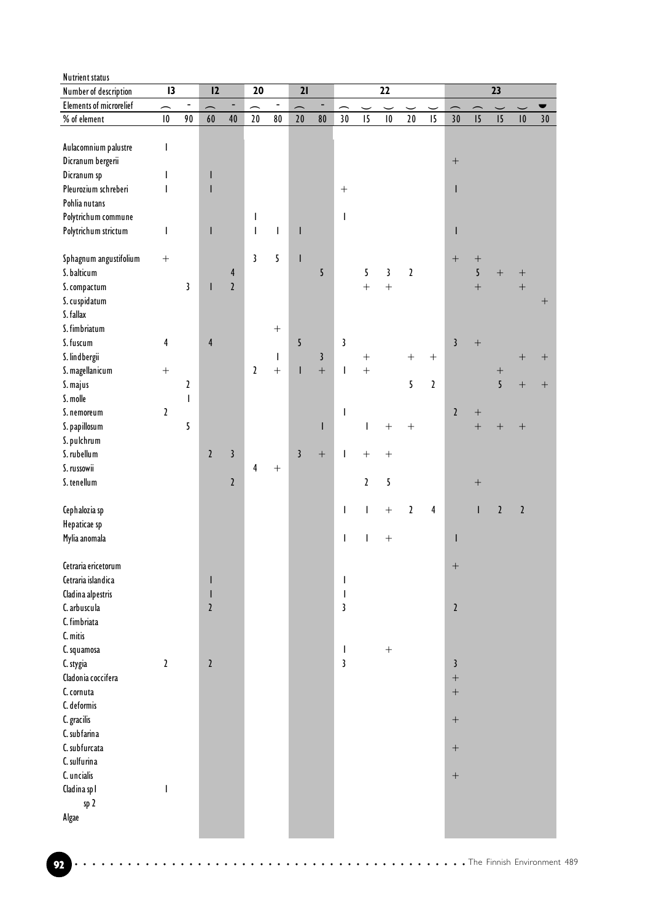| Nutrient status                |                          |                   |                          |                              |                                       |                              |                                                                                                                                                                                                                                                                                                                                                                                                                |                  |                          |               |                          |              |               |                  |                  |                          |                      |                    |
|--------------------------------|--------------------------|-------------------|--------------------------|------------------------------|---------------------------------------|------------------------------|----------------------------------------------------------------------------------------------------------------------------------------------------------------------------------------------------------------------------------------------------------------------------------------------------------------------------------------------------------------------------------------------------------------|------------------|--------------------------|---------------|--------------------------|--------------|---------------|------------------|------------------|--------------------------|----------------------|--------------------|
| Number of description          | $\overline{13}$          |                   | 12                       |                              | 20                                    |                              | 21                                                                                                                                                                                                                                                                                                                                                                                                             |                  |                          |               | 22                       |              |               |                  |                  | 23                       |                      |                    |
| <b>Elements of microrelief</b> | $\overline{\phantom{0}}$ | $\qquad \qquad -$ | $\overline{\phantom{0}}$ | $\qquad \qquad \blacksquare$ | $\overline{\phantom{0}}$              | $\qquad \qquad \blacksquare$ | $\overline{\phantom{0}}$                                                                                                                                                                                                                                                                                                                                                                                       | -                | $\overline{\phantom{1}}$ |               | $\overline{\phantom{0}}$ |              |               |                  |                  | $\overline{\phantom{0}}$ |                      |                    |
| % of element                   | $\vert 0$                | 90                | 60                       | 40                           | $20\,$                                | $80\,$                       | 20                                                                                                                                                                                                                                                                                                                                                                                                             | 80               | 30                       | 15            | $\vert 0 \vert$          | $20$         | 15            | 30               | 15               | 15                       | $\pmb{\mid} \pmb{0}$ | $30$               |
|                                |                          |                   |                          |                              |                                       |                              |                                                                                                                                                                                                                                                                                                                                                                                                                |                  |                          |               |                          |              |               |                  |                  |                          |                      |                    |
| Aulacomnium palustre           | I                        |                   |                          |                              |                                       |                              |                                                                                                                                                                                                                                                                                                                                                                                                                |                  |                          |               |                          |              |               |                  |                  |                          |                      |                    |
| Dicranum bergerii              |                          |                   |                          |                              |                                       |                              |                                                                                                                                                                                                                                                                                                                                                                                                                |                  |                          |               |                          |              |               |                  |                  |                          |                      |                    |
| Dicranum sp                    | I                        |                   |                          |                              |                                       |                              |                                                                                                                                                                                                                                                                                                                                                                                                                |                  |                          |               |                          |              |               |                  |                  |                          |                      |                    |
| Pleurozium schreberi           | I                        |                   |                          |                              |                                       |                              |                                                                                                                                                                                                                                                                                                                                                                                                                |                  |                          |               |                          |              |               | I                |                  |                          |                      |                    |
| Pohlia nutans                  |                          |                   |                          |                              |                                       |                              |                                                                                                                                                                                                                                                                                                                                                                                                                |                  |                          |               |                          |              |               |                  |                  |                          |                      |                    |
| Polytrichum commune            |                          |                   |                          |                              | $\mathsf{I}$                          |                              |                                                                                                                                                                                                                                                                                                                                                                                                                |                  | T                        |               |                          |              |               |                  |                  |                          |                      |                    |
| Polytrichum strictum           | T                        |                   | ı                        |                              | $\begin{array}{c} \hline \end{array}$ | $\mathbf{I}$                 | $\mathsf{I}$                                                                                                                                                                                                                                                                                                                                                                                                   |                  |                          |               |                          |              |               | $\mathsf{l}$     |                  |                          |                      |                    |
|                                |                          |                   |                          |                              |                                       |                              |                                                                                                                                                                                                                                                                                                                                                                                                                |                  |                          |               |                          |              |               |                  |                  |                          |                      |                    |
| Sphagnum angustifolium         | $\boldsymbol{+}$         |                   |                          |                              | 3                                     | 5                            | $\begin{array}{c} \rule{0pt}{2ex} \rule{0pt}{2ex} \rule{0pt}{2ex} \rule{0pt}{2ex} \rule{0pt}{2ex} \rule{0pt}{2ex} \rule{0pt}{2ex} \rule{0pt}{2ex} \rule{0pt}{2ex} \rule{0pt}{2ex} \rule{0pt}{2ex} \rule{0pt}{2ex} \rule{0pt}{2ex} \rule{0pt}{2ex} \rule{0pt}{2ex} \rule{0pt}{2ex} \rule{0pt}{2ex} \rule{0pt}{2ex} \rule{0pt}{2ex} \rule{0pt}{2ex} \rule{0pt}{2ex} \rule{0pt}{2ex} \rule{0pt}{2ex} \rule{0pt}{$ |                  |                          |               |                          |              |               |                  |                  |                          |                      |                    |
| S. balticum                    |                          |                   |                          | $\overline{\mathbf{r}}$      |                                       |                              |                                                                                                                                                                                                                                                                                                                                                                                                                | 5                |                          | 5             | 3                        | $\mathbf{2}$ |               |                  | 5                | $\boldsymbol{+}$         | $+$                  |                    |
| S. compactum                   |                          | 3                 |                          | $\mathbf{2}$                 |                                       |                              |                                                                                                                                                                                                                                                                                                                                                                                                                |                  |                          | $\ddot{}$     | $\ddot{+}$               |              |               |                  | $\overline{+}$   |                          | $\qquad \qquad +$    |                    |
| S. cuspidatum                  |                          |                   |                          |                              |                                       |                              |                                                                                                                                                                                                                                                                                                                                                                                                                |                  |                          |               |                          |              |               |                  |                  |                          |                      | $+$                |
| S. fallax                      |                          |                   |                          |                              |                                       |                              |                                                                                                                                                                                                                                                                                                                                                                                                                |                  |                          |               |                          |              |               |                  |                  |                          |                      |                    |
| S. fimbriatum                  |                          |                   |                          |                              |                                       | $\boldsymbol{+}$             |                                                                                                                                                                                                                                                                                                                                                                                                                |                  |                          |               |                          |              |               |                  |                  |                          |                      |                    |
| S. fuscum                      | 4                        |                   | $\overline{4}$           |                              |                                       |                              | 5                                                                                                                                                                                                                                                                                                                                                                                                              |                  | $\mathbf{3}$             |               |                          |              |               | $\mathbf{3}$     | $\! + \!$        |                          |                      |                    |
| S. lindbergii                  |                          |                   |                          |                              |                                       | $\mathbf{I}$                 |                                                                                                                                                                                                                                                                                                                                                                                                                | $\mathfrak{z}$   |                          |               |                          | $^{+}$       | $+$           |                  |                  |                          |                      | $\hspace{0.1mm} +$ |
| S. magellanicum                |                          |                   |                          |                              | $\overline{2}$                        | $\pm$                        | $\boldsymbol{\mathsf{I}}$                                                                                                                                                                                                                                                                                                                                                                                      | $\ddot{}$        | T                        | $\ddot{}$     |                          |              |               |                  |                  | $\! + \!$                |                      |                    |
| S. majus                       |                          | 2                 |                          |                              |                                       |                              |                                                                                                                                                                                                                                                                                                                                                                                                                |                  |                          |               |                          | 5            | $\mathfrak z$ |                  |                  | $\overline{5}$           | $\boldsymbol{+}$     | $+$                |
| S. molle                       |                          | $\mathsf{I}$      |                          |                              |                                       |                              |                                                                                                                                                                                                                                                                                                                                                                                                                |                  |                          |               |                          |              |               |                  |                  |                          |                      |                    |
| S. nemoreum                    | $\mathbf{2}$             |                   |                          |                              |                                       |                              |                                                                                                                                                                                                                                                                                                                                                                                                                |                  | I                        |               |                          |              |               | $\mathfrak{c}$   |                  |                          |                      |                    |
| S. papillosum                  |                          | 5                 |                          |                              |                                       |                              |                                                                                                                                                                                                                                                                                                                                                                                                                | I                |                          | I             | $\! + \!$                |              |               |                  | $\ddot{}$        | $\! + \!$                |                      |                    |
| S. pulchrum                    |                          |                   |                          |                              |                                       |                              |                                                                                                                                                                                                                                                                                                                                                                                                                |                  |                          |               |                          |              |               |                  |                  |                          |                      |                    |
| S. rubellum                    |                          |                   | $\overline{2}$           | $\mathfrak{z}$               |                                       |                              | $\mathbf{3}$                                                                                                                                                                                                                                                                                                                                                                                                   | $\boldsymbol{+}$ | $\mathbf{I}$             | $\bar{+}$     | $^{+}$                   |              |               |                  |                  |                          |                      |                    |
| S. russowii                    |                          |                   |                          |                              | 4                                     | $\boldsymbol{+}$             |                                                                                                                                                                                                                                                                                                                                                                                                                |                  |                          |               |                          |              |               |                  |                  |                          |                      |                    |
| S. tenellum                    |                          |                   |                          | $\mathbf{2}$                 |                                       |                              |                                                                                                                                                                                                                                                                                                                                                                                                                |                  |                          | $\mathfrak z$ | 5                        |              |               |                  | $\boldsymbol{+}$ |                          |                      |                    |
|                                |                          |                   |                          |                              |                                       |                              |                                                                                                                                                                                                                                                                                                                                                                                                                |                  |                          |               |                          |              |               |                  |                  |                          |                      |                    |
| Cephalozia sp                  |                          |                   |                          |                              |                                       |                              |                                                                                                                                                                                                                                                                                                                                                                                                                |                  | L                        | $\mathsf{I}$  |                          | $\mathbf{Z}$ | $\pmb{4}$     |                  | T                | $\overline{2}$           | $\mathbf{2}$         |                    |
| Hepaticae sp                   |                          |                   |                          |                              |                                       |                              |                                                                                                                                                                                                                                                                                                                                                                                                                |                  |                          |               |                          |              |               |                  |                  |                          |                      |                    |
| Mylia anomala                  |                          |                   |                          |                              |                                       |                              |                                                                                                                                                                                                                                                                                                                                                                                                                |                  | $\mathbf{I}$             | T             |                          |              |               | ı                |                  |                          |                      |                    |
|                                |                          |                   |                          |                              |                                       |                              |                                                                                                                                                                                                                                                                                                                                                                                                                |                  |                          |               |                          |              |               |                  |                  |                          |                      |                    |
| Cetraria ericetorum            |                          |                   |                          |                              |                                       |                              |                                                                                                                                                                                                                                                                                                                                                                                                                |                  |                          |               |                          |              |               |                  |                  |                          |                      |                    |
| Cetraria islandica             |                          |                   |                          |                              |                                       |                              |                                                                                                                                                                                                                                                                                                                                                                                                                |                  | I                        |               |                          |              |               |                  |                  |                          |                      |                    |
| Cladina alpestris              |                          |                   | $\mathsf{l}$             |                              |                                       |                              |                                                                                                                                                                                                                                                                                                                                                                                                                |                  | I                        |               |                          |              |               |                  |                  |                          |                      |                    |
| C. arbuscula                   |                          |                   | $\mathfrak z$            |                              |                                       |                              |                                                                                                                                                                                                                                                                                                                                                                                                                |                  | 3                        |               |                          |              |               | $\overline{2}$   |                  |                          |                      |                    |
| C. fimbriata                   |                          |                   |                          |                              |                                       |                              |                                                                                                                                                                                                                                                                                                                                                                                                                |                  |                          |               |                          |              |               |                  |                  |                          |                      |                    |
| C. mitis                       |                          |                   |                          |                              |                                       |                              |                                                                                                                                                                                                                                                                                                                                                                                                                |                  |                          |               |                          |              |               |                  |                  |                          |                      |                    |
| C. squamosa                    |                          |                   |                          |                              |                                       |                              |                                                                                                                                                                                                                                                                                                                                                                                                                |                  | T                        |               | $\boldsymbol{+}$         |              |               |                  |                  |                          |                      |                    |
| C. stygia                      | $\mathbf{2}$             |                   | $\mathbf{2}$             |                              |                                       |                              |                                                                                                                                                                                                                                                                                                                                                                                                                |                  | 3                        |               |                          |              |               | $\overline{3}$   |                  |                          |                      |                    |
| Cladonia coccifera             |                          |                   |                          |                              |                                       |                              |                                                                                                                                                                                                                                                                                                                                                                                                                |                  |                          |               |                          |              |               |                  |                  |                          |                      |                    |
| C. cornuta                     |                          |                   |                          |                              |                                       |                              |                                                                                                                                                                                                                                                                                                                                                                                                                |                  |                          |               |                          |              |               |                  |                  |                          |                      |                    |
| C. deformis                    |                          |                   |                          |                              |                                       |                              |                                                                                                                                                                                                                                                                                                                                                                                                                |                  |                          |               |                          |              |               |                  |                  |                          |                      |                    |
| C. gracilis                    |                          |                   |                          |                              |                                       |                              |                                                                                                                                                                                                                                                                                                                                                                                                                |                  |                          |               |                          |              |               | $\boldsymbol{+}$ |                  |                          |                      |                    |
| C. subfarina                   |                          |                   |                          |                              |                                       |                              |                                                                                                                                                                                                                                                                                                                                                                                                                |                  |                          |               |                          |              |               |                  |                  |                          |                      |                    |
| C. subfurcata                  |                          |                   |                          |                              |                                       |                              |                                                                                                                                                                                                                                                                                                                                                                                                                |                  |                          |               |                          |              |               |                  |                  |                          |                      |                    |
| C. sulfurina                   |                          |                   |                          |                              |                                       |                              |                                                                                                                                                                                                                                                                                                                                                                                                                |                  |                          |               |                          |              |               |                  |                  |                          |                      |                    |
| C. uncialis                    |                          |                   |                          |                              |                                       |                              |                                                                                                                                                                                                                                                                                                                                                                                                                |                  |                          |               |                          |              |               | $\boldsymbol{+}$ |                  |                          |                      |                    |
| Cladina spl                    | ı                        |                   |                          |                              |                                       |                              |                                                                                                                                                                                                                                                                                                                                                                                                                |                  |                          |               |                          |              |               |                  |                  |                          |                      |                    |
| sp 2                           |                          |                   |                          |                              |                                       |                              |                                                                                                                                                                                                                                                                                                                                                                                                                |                  |                          |               |                          |              |               |                  |                  |                          |                      |                    |
| Algae                          |                          |                   |                          |                              |                                       |                              |                                                                                                                                                                                                                                                                                                                                                                                                                |                  |                          |               |                          |              |               |                  |                  |                          |                      |                    |
|                                |                          |                   |                          |                              |                                       |                              |                                                                                                                                                                                                                                                                                                                                                                                                                |                  |                          |               |                          |              |               |                  |                  |                          |                      |                    |
|                                |                          |                   |                          |                              |                                       |                              |                                                                                                                                                                                                                                                                                                                                                                                                                |                  |                          |               |                          |              |               |                  |                  |                          |                      |                    |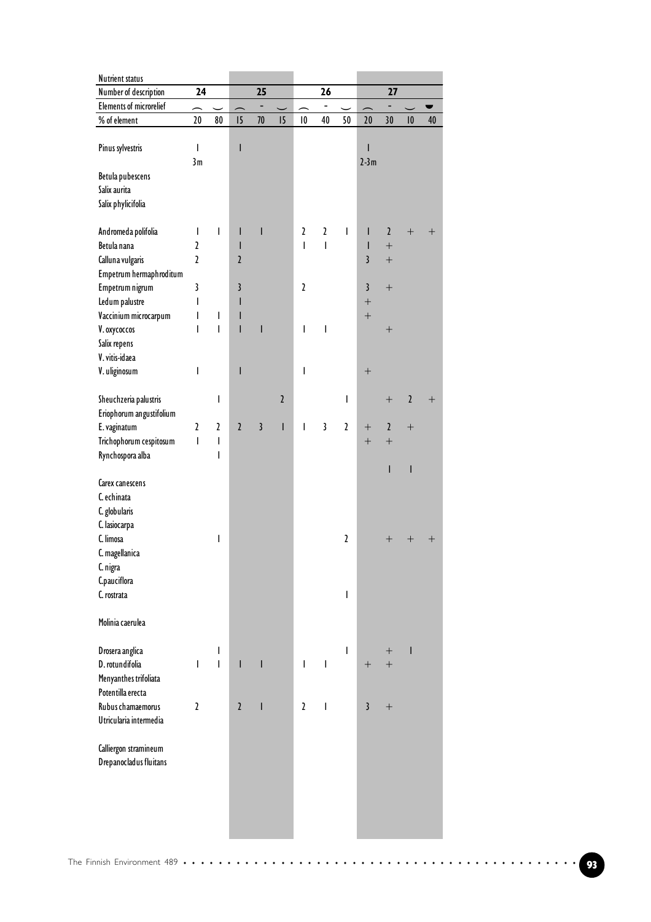| <b>Nutrient status</b>                          |                          |                          |                         |                          |              |                         |                          |               |                         |                    |                      |        |  |
|-------------------------------------------------|--------------------------|--------------------------|-------------------------|--------------------------|--------------|-------------------------|--------------------------|---------------|-------------------------|--------------------|----------------------|--------|--|
| Number of description                           | 24                       |                          |                         | 25                       |              |                         | 26                       |               |                         | 27                 |                      |        |  |
| <b>Elements of microrelief</b>                  | $\overline{\phantom{1}}$ |                          |                         | $\overline{\phantom{0}}$ |              |                         | $\overline{\phantom{0}}$ |               |                         | ÷                  |                      |        |  |
| $\%$ of element                                 | 20                       | 80                       | 15                      | $70\,$                   | 15           | $\overline{\mathbf{0}}$ | 40                       | 50            | 20                      | 30                 | $\pmb{\mid} \pmb{0}$ | 40     |  |
| Pinus sylvestris                                | I                        |                          | I                       |                          |              |                         |                          |               | I<br>$2-3m$             |                    |                      |        |  |
| Betula pubescens                                | 3m                       |                          |                         |                          |              |                         |                          |               |                         |                    |                      |        |  |
| Salix aurita                                    |                          |                          |                         |                          |              |                         |                          |               |                         |                    |                      |        |  |
| Salix phylicifolia                              |                          |                          |                         |                          |              |                         |                          |               |                         |                    |                      |        |  |
|                                                 |                          |                          |                         |                          |              |                         |                          |               |                         |                    |                      |        |  |
| Andromeda polifolia                             | I                        | T                        | T                       | I                        |              | $\mathfrak{p}$          | $\mathbf{z}$             | I             | I                       | $\mathbf{Z}$       | $^{+}$               | $^+$   |  |
| Betula nana                                     | $\overline{\mathbf{c}}$  |                          | I                       |                          |              | $\overline{1}$          | T                        |               | T                       | $^{+}$             |                      |        |  |
| Calluna vulgaris                                | $\overline{\mathbf{c}}$  |                          | $\overline{2}$          |                          |              |                         |                          |               | $\overline{\mathbf{3}}$ | $^{+}$             |                      |        |  |
| Empetrum hermaphroditum                         |                          |                          |                         |                          |              |                         |                          |               |                         |                    |                      |        |  |
| Empetrum nigrum                                 | 3                        |                          | 3                       |                          |              | $\mathbf{2}$            |                          |               | $\overline{\mathbf{3}}$ | $+$                |                      |        |  |
| Ledum palustre                                  | I                        |                          | I                       |                          |              |                         |                          |               | $\boldsymbol{+}$        |                    |                      |        |  |
| Vaccinium microcarpum                           | I                        | T                        | I                       |                          |              |                         |                          |               | $\boldsymbol{+}$        |                    |                      |        |  |
| V. oxycoccos                                    | I                        | $\overline{\phantom{a}}$ | $\mathsf{I}$            | I                        |              | I                       | T                        |               |                         |                    |                      |        |  |
| Salix repens                                    |                          |                          |                         |                          |              |                         |                          |               |                         |                    |                      |        |  |
| V. vitis-idaea                                  |                          |                          |                         |                          |              |                         |                          |               |                         |                    |                      |        |  |
| V. uliginosum                                   | I                        |                          | I                       |                          |              | I                       |                          |               | $\boldsymbol{+}$        |                    |                      |        |  |
|                                                 |                          |                          |                         |                          |              |                         |                          |               |                         |                    |                      |        |  |
| Sheuchzeria palustris                           |                          | I                        |                         |                          | $\sqrt{2}$   |                         |                          | I             |                         | $^{+}$             | $\mathfrak z$        | $^{+}$ |  |
| Eriophorum angustifolium                        |                          |                          |                         |                          |              |                         |                          |               |                         |                    |                      |        |  |
| E. vaginatum                                    | $\mathfrak z$            | $\mathfrak z$            | $\overline{2}$          | $\overline{3}$           | $\mathsf{I}$ | I                       | $\mathbf{3}$             | $\mathfrak z$ | $+$                     | $\mathbf{Z}$       | $^{+}$               |        |  |
| Trichophorum cespitosum                         | I                        | $\overline{\phantom{a}}$ |                         |                          |              |                         |                          |               | $\boldsymbol{+}$        | $^{+}$             |                      |        |  |
| Rynchospora alba                                |                          | T                        |                         |                          |              |                         |                          |               |                         |                    |                      |        |  |
|                                                 |                          |                          |                         |                          |              |                         |                          |               |                         | I                  | $\mathsf I$          |        |  |
| Carex canescens                                 |                          |                          |                         |                          |              |                         |                          |               |                         |                    |                      |        |  |
| C. echinata                                     |                          |                          |                         |                          |              |                         |                          |               |                         |                    |                      |        |  |
| C. globularis                                   |                          |                          |                         |                          |              |                         |                          |               |                         |                    |                      |        |  |
| C. lasiocarpa                                   |                          |                          |                         |                          |              |                         |                          |               |                         |                    |                      |        |  |
| C. limosa                                       |                          | I                        |                         |                          |              |                         |                          | $\mathfrak z$ |                         | $\hspace{0.1mm} +$ | $\pm$                | $\pm$  |  |
| C. magellanica                                  |                          |                          |                         |                          |              |                         |                          |               |                         |                    |                      |        |  |
| C. nigra                                        |                          |                          |                         |                          |              |                         |                          |               |                         |                    |                      |        |  |
| C.pauciflora                                    |                          |                          |                         |                          |              |                         |                          |               |                         |                    |                      |        |  |
| C. rostrata                                     |                          |                          |                         |                          |              |                         |                          | I             |                         |                    |                      |        |  |
|                                                 |                          |                          |                         |                          |              |                         |                          |               |                         |                    |                      |        |  |
| Molinia caerulea                                |                          |                          |                         |                          |              |                         |                          |               |                         |                    |                      |        |  |
|                                                 |                          |                          |                         |                          |              |                         |                          |               |                         |                    |                      |        |  |
| Drosera anglica                                 |                          | T                        |                         |                          |              |                         |                          | T             |                         | $\mathrm{+}$       | ı                    |        |  |
| D. rotundifolia                                 | T                        | $\mathbf{I}$             | $\mathsf{I}$            | ı                        |              | I                       | $\mathsf{I}$             |               | $+$                     | $^{+}$             |                      |        |  |
| Menyanthes trifoliata                           |                          |                          |                         |                          |              |                         |                          |               |                         |                    |                      |        |  |
| Potentilla erecta                               |                          |                          |                         |                          |              |                         |                          |               |                         |                    |                      |        |  |
| Rubus chamaemorus                               | $\mathfrak z$            |                          | $\overline{\mathbf{r}}$ | T                        |              | $\mathbf{2}$            | $\overline{\phantom{a}}$ |               | $\mathbf{3}$            | $^{+}$             |                      |        |  |
| Utricularia intermedia                          |                          |                          |                         |                          |              |                         |                          |               |                         |                    |                      |        |  |
|                                                 |                          |                          |                         |                          |              |                         |                          |               |                         |                    |                      |        |  |
| Calliergon stramineum<br>Drepanocladus fluitans |                          |                          |                         |                          |              |                         |                          |               |                         |                    |                      |        |  |
|                                                 |                          |                          |                         |                          |              |                         |                          |               |                         |                    |                      |        |  |
|                                                 |                          |                          |                         |                          |              |                         |                          |               |                         |                    |                      |        |  |
|                                                 |                          |                          |                         |                          |              |                         |                          |               |                         |                    |                      |        |  |
|                                                 |                          |                          |                         |                          |              |                         |                          |               |                         |                    |                      |        |  |
|                                                 |                          |                          |                         |                          |              |                         |                          |               |                         |                    |                      |        |  |
|                                                 |                          |                          |                         |                          |              |                         |                          |               |                         |                    |                      |        |  |